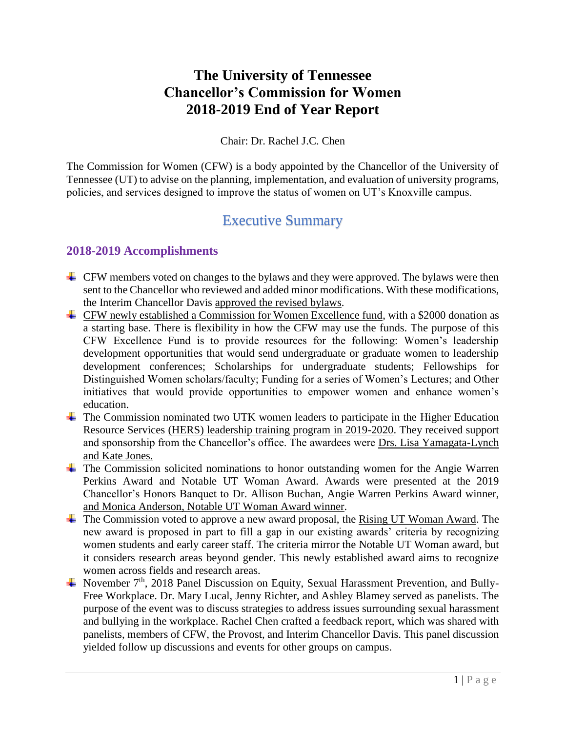# **The University of Tennessee Chancellor's Commission for Women 2018-2019 End of Year Report**

#### Chair: Dr. Rachel J.C. Chen

The Commission for Women (CFW) is a body appointed by the Chancellor of the University of Tennessee (UT) to advise on the planning, implementation, and evaluation of university programs, policies, and services designed to improve the status of women on UT's Knoxville campus.

# Executive Summary

### **2018-2019 Accomplishments**

- $\overline{\phantom{a} \bullet}$  CFW members voted on changes to the bylaws and they were approved. The bylaws were then sent to the Chancellor who reviewed and added minor modifications. With these modifications, the Interim Chancellor Davis approved the revised bylaws.
- CFW newly established a Commission for Women Excellence fund, with a \$2000 donation as a starting base. There is flexibility in how the CFW may use the funds. The purpose of this CFW Excellence Fund is to provide resources for the following: Women's leadership development opportunities that would send undergraduate or graduate women to leadership development conferences; Scholarships for undergraduate students; Fellowships for Distinguished Women scholars/faculty; Funding for a series of Women's Lectures; and Other initiatives that would provide opportunities to empower women and enhance women's education.
- <sup> $\pm$ </sup> The Commission nominated two UTK women leaders to participate in the Higher Education Resource Services (HERS) leadership training program in 2019-2020. They received support and sponsorship from the Chancellor's office. The awardees were Drs. Lisa Yamagata-Lynch and Kate Jones.
- The Commission solicited nominations to honor outstanding women for the Angie Warren Perkins Award and Notable UT Woman Award. Awards were presented at the 2019 Chancellor's Honors Banquet to Dr. Allison Buchan, Angie Warren Perkins Award winner, and Monica Anderson, Notable UT Woman Award winner.
- $\pm$  The Commission voted to approve a new award proposal, the Rising UT Woman Award. The new award is proposed in part to fill a gap in our existing awards' criteria by recognizing women students and early career staff. The criteria mirror the Notable UT Woman award, but it considers research areas beyond gender. This newly established award aims to recognize women across fields and research areas.
- November  $7<sup>th</sup>$ , 2018 Panel Discussion on Equity, Sexual Harassment Prevention, and Bully-Free Workplace. Dr. Mary Lucal, Jenny Richter, and Ashley Blamey served as panelists. The purpose of the event was to discuss strategies to address issues surrounding sexual harassment and bullying in the workplace. Rachel Chen crafted a feedback report, which was shared with panelists, members of CFW, the Provost, and Interim Chancellor Davis. This panel discussion yielded follow up discussions and events for other groups on campus.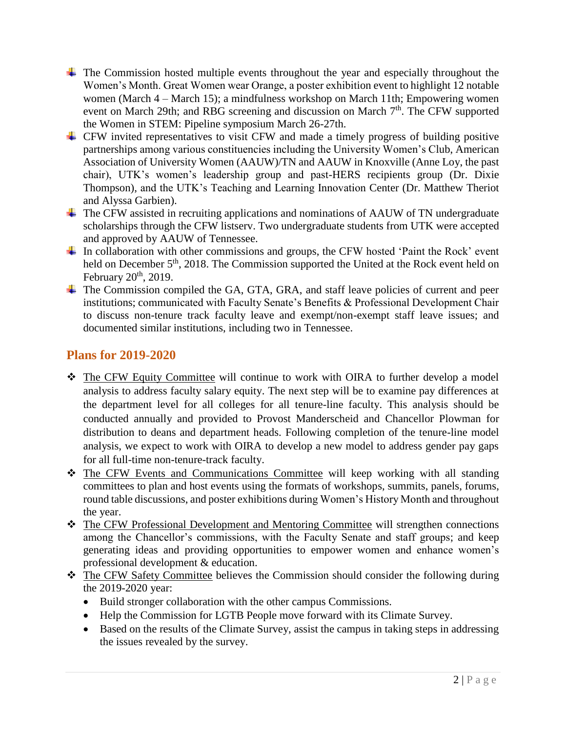- $\ddot{\phantom{1}}$  The Commission hosted multiple events throughout the year and especially throughout the Women's Month. Great Women wear Orange, a poster exhibition event to highlight 12 notable women (March 4 – March 15); a mindfulness workshop on March 11th; Empowering women event on March 29th; and RBG screening and discussion on March  $7<sup>th</sup>$ . The CFW supported the Women in STEM: Pipeline symposium March 26-27th.
- $\overline{\phantom{a} \bullet}$  CFW invited representatives to visit CFW and made a timely progress of building positive partnerships among various constituencies including the University Women's Club, American Association of University Women (AAUW)/TN and AAUW in Knoxville (Anne Loy, the past chair), UTK's women's leadership group and past-HERS recipients group (Dr. Dixie Thompson), and the UTK's Teaching and Learning Innovation Center (Dr. Matthew Theriot and Alyssa Garbien).
- $\overline{\phantom{a} \overline{\phantom{a}}}$  The CFW assisted in recruiting applications and nominations of AAUW of TN undergraduate scholarships through the CFW listserv. Two undergraduate students from UTK were accepted and approved by AAUW of Tennessee.
- $\overline{\text{I}}$  In collaboration with other commissions and groups, the CFW hosted 'Paint the Rock' event held on December 5<sup>th</sup>, 2018. The Commission supported the United at the Rock event held on February  $20<sup>th</sup>$ , 2019.
- ↓ The Commission compiled the GA, GTA, GRA, and staff leave policies of current and peer institutions; communicated with Faculty Senate's Benefits & Professional Development Chair to discuss non-tenure track faculty leave and exempt/non-exempt staff leave issues; and documented similar institutions, including two in Tennessee.

# **Plans for 2019-2020**

- The CFW Equity Committee will continue to work with OIRA to further develop a model analysis to address faculty salary equity. The next step will be to examine pay differences at the department level for all colleges for all tenure-line faculty. This analysis should be conducted annually and provided to Provost Manderscheid and Chancellor Plowman for distribution to deans and department heads. Following completion of the tenure-line model analysis, we expect to work with OIRA to develop a new model to address gender pay gaps for all full-time non-tenure-track faculty.
- \* The CFW Events and Communications Committee will keep working with all standing committees to plan and host events using the formats of workshops, summits, panels, forums, round table discussions, and poster exhibitions during Women's History Month and throughout the year.
- The CFW Professional Development and Mentoring Committee will strengthen connections among the Chancellor's commissions, with the Faculty Senate and staff groups; and keep generating ideas and providing opportunities to empower women and enhance women's professional development & education.
- \* The CFW Safety Committee believes the Commission should consider the following during the 2019-2020 year:
	- Build stronger collaboration with the other campus Commissions.
	- Help the Commission for LGTB People move forward with its Climate Survey.
	- Based on the results of the Climate Survey, assist the campus in taking steps in addressing the issues revealed by the survey.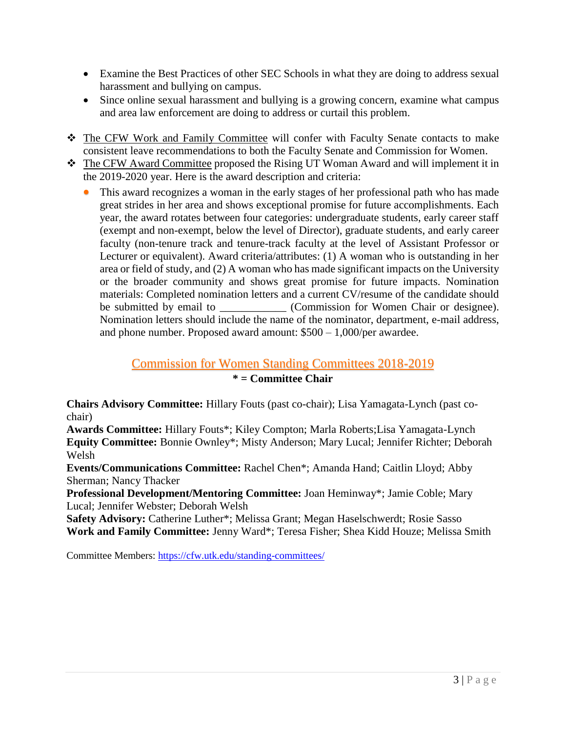- Examine the Best Practices of other SEC Schools in what they are doing to address sexual harassment and bullying on campus.
- Since online sexual harassment and bullying is a growing concern, examine what campus and area law enforcement are doing to address or curtail this problem.
- The CFW Work and Family Committee will confer with Faculty Senate contacts to make consistent leave recommendations to both the Faculty Senate and Commission for Women.
- The CFW Award Committee proposed the Rising UT Woman Award and will implement it in the 2019-2020 year. Here is the award description and criteria:
	- This award recognizes a woman in the early stages of her professional path who has made great strides in her area and shows exceptional promise for future accomplishments. Each year, the award rotates between four categories: undergraduate students, early career staff (exempt and non-exempt, below the level of Director), graduate students, and early career faculty (non-tenure track and tenure-track faculty at the level of Assistant Professor or Lecturer or equivalent). Award criteria/attributes: (1) A woman who is outstanding in her area or field of study, and (2) A woman who has made significant impacts on the University or the broader community and shows great promise for future impacts. Nomination materials: Completed nomination letters and a current CV/resume of the candidate should be submitted by email to \_\_\_\_\_\_\_\_\_\_\_\_ (Commission for Women Chair or designee). Nomination letters should include the name of the nominator, department, e-mail address, and phone number. Proposed award amount: \$500 – 1,000/per awardee.

### Commission for Women Standing Committees 2018-2019 **\* = Committee Chair**

**Chairs Advisory Committee:** Hillary Fouts (past co-chair); Lisa Yamagata-Lynch (past cochair)

**Awards Committee:** Hillary Fouts\*; Kiley Compton; Marla Roberts;Lisa Yamagata-Lynch **Equity Committee:** Bonnie Ownley\*; Misty Anderson; Mary Lucal; Jennifer Richter; Deborah Welsh

**Events/Communications Committee:** Rachel Chen\*; Amanda Hand; Caitlin Lloyd; Abby Sherman; Nancy Thacker

**Professional Development/Mentoring Committee:** Joan Heminway\*; Jamie Coble; Mary Lucal; Jennifer Webster; Deborah Welsh

**Safety Advisory:** Catherine Luther\*; Melissa Grant; Megan Haselschwerdt; Rosie Sasso **Work and Family Committee:** Jenny Ward\*; Teresa Fisher; Shea Kidd Houze; Melissa Smith

Committee Members:<https://cfw.utk.edu/standing-committees/>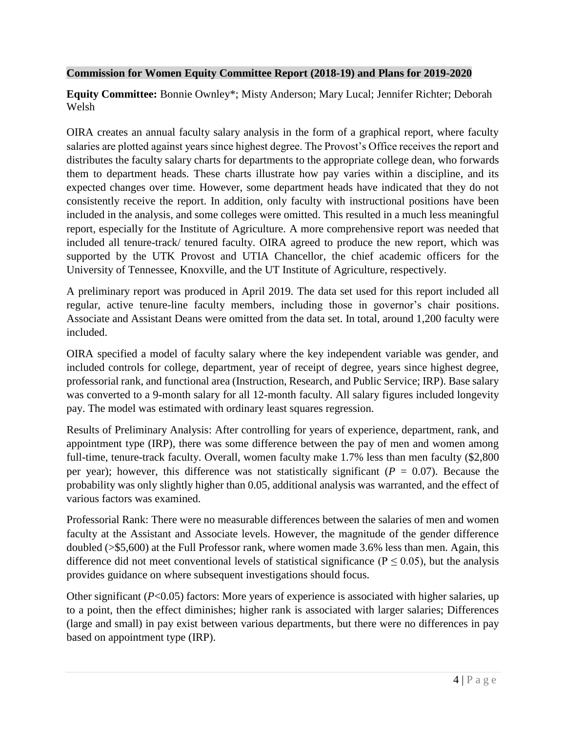#### **Commission for Women Equity Committee Report (2018-19) and Plans for 2019-2020**

**Equity Committee:** Bonnie Ownley\*; Misty Anderson; Mary Lucal; Jennifer Richter; Deborah Welsh

OIRA creates an annual faculty salary analysis in the form of a graphical report, where faculty salaries are plotted against years since highest degree. The Provost's Office receives the report and distributes the faculty salary charts for departments to the appropriate college dean, who forwards them to department heads. These charts illustrate how pay varies within a discipline, and its expected changes over time. However, some department heads have indicated that they do not consistently receive the report. In addition, only faculty with instructional positions have been included in the analysis, and some colleges were omitted. This resulted in a much less meaningful report, especially for the Institute of Agriculture. A more comprehensive report was needed that included all tenure-track/ tenured faculty. OIRA agreed to produce the new report, which was supported by the UTK Provost and UTIA Chancellor, the chief academic officers for the University of Tennessee, Knoxville, and the UT Institute of Agriculture, respectively.

A preliminary report was produced in April 2019. The data set used for this report included all regular, active tenure-line faculty members, including those in governor's chair positions. Associate and Assistant Deans were omitted from the data set. In total, around 1,200 faculty were included.

OIRA specified a model of faculty salary where the key independent variable was gender, and included controls for college, department, year of receipt of degree, years since highest degree, professorial rank, and functional area (Instruction, Research, and Public Service; IRP). Base salary was converted to a 9-month salary for all 12-month faculty. All salary figures included longevity pay. The model was estimated with ordinary least squares regression.

Results of Preliminary Analysis: After controlling for years of experience, department, rank, and appointment type (IRP), there was some difference between the pay of men and women among full-time, tenure-track faculty. Overall, women faculty make 1.7% less than men faculty (\$2,800 per year); however, this difference was not statistically significant ( $P = 0.07$ ). Because the probability was only slightly higher than 0.05, additional analysis was warranted, and the effect of various factors was examined.

Professorial Rank: There were no measurable differences between the salaries of men and women faculty at the Assistant and Associate levels. However, the magnitude of the gender difference doubled (>\$5,600) at the Full Professor rank, where women made 3.6% less than men. Again, this difference did not meet conventional levels of statistical significance ( $P \le 0.05$ ), but the analysis provides guidance on where subsequent investigations should focus.

Other significant (*P*<0.05) factors: More years of experience is associated with higher salaries, up to a point, then the effect diminishes; higher rank is associated with larger salaries; Differences (large and small) in pay exist between various departments, but there were no differences in pay based on appointment type (IRP).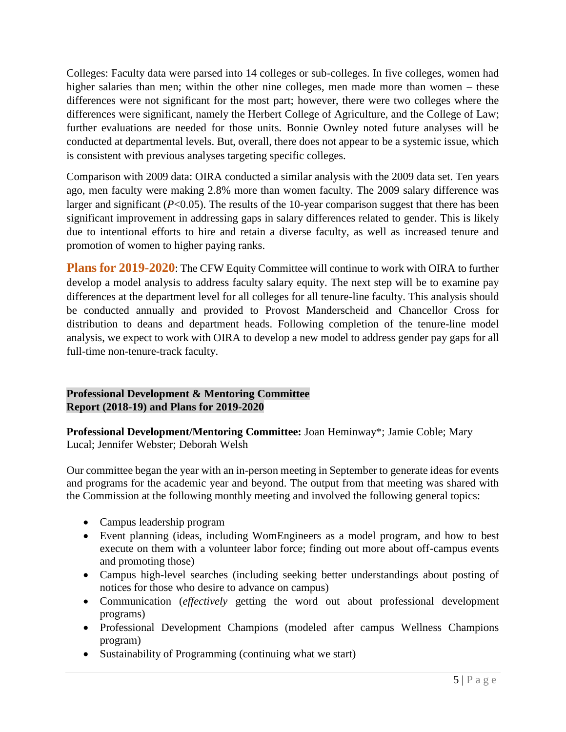Colleges: Faculty data were parsed into 14 colleges or sub-colleges. In five colleges, women had higher salaries than men; within the other nine colleges, men made more than women – these differences were not significant for the most part; however, there were two colleges where the differences were significant, namely the Herbert College of Agriculture, and the College of Law; further evaluations are needed for those units. Bonnie Ownley noted future analyses will be conducted at departmental levels. But, overall, there does not appear to be a systemic issue, which is consistent with previous analyses targeting specific colleges.

Comparison with 2009 data: OIRA conducted a similar analysis with the 2009 data set. Ten years ago, men faculty were making 2.8% more than women faculty. The 2009 salary difference was larger and significant (*P*<0.05). The results of the 10-year comparison suggest that there has been significant improvement in addressing gaps in salary differences related to gender. This is likely due to intentional efforts to hire and retain a diverse faculty, as well as increased tenure and promotion of women to higher paying ranks.

**Plans for 2019-2020**: The CFW Equity Committee will continue to work with OIRA to further develop a model analysis to address faculty salary equity. The next step will be to examine pay differences at the department level for all colleges for all tenure-line faculty. This analysis should be conducted annually and provided to Provost Manderscheid and Chancellor Cross for distribution to deans and department heads. Following completion of the tenure-line model analysis, we expect to work with OIRA to develop a new model to address gender pay gaps for all full-time non-tenure-track faculty.

#### **Professional Development & Mentoring Committee Report (2018-19) and Plans for 2019-2020**

**Professional Development/Mentoring Committee:** Joan Heminway\*; Jamie Coble; Mary Lucal; Jennifer Webster; Deborah Welsh

Our committee began the year with an in-person meeting in September to generate ideas for events and programs for the academic year and beyond. The output from that meeting was shared with the Commission at the following monthly meeting and involved the following general topics:

- Campus leadership program
- Event planning (ideas, including WomEngineers as a model program, and how to best execute on them with a volunteer labor force; finding out more about off-campus events and promoting those)
- Campus high-level searches (including seeking better understandings about posting of notices for those who desire to advance on campus)
- Communication (*effectively* getting the word out about professional development programs)
- Professional Development Champions (modeled after campus Wellness Champions program)
- Sustainability of Programming (continuing what we start)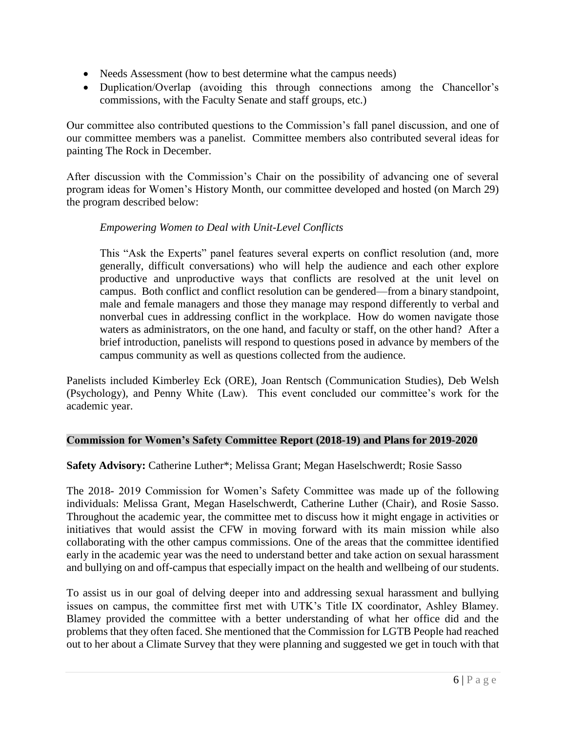- Needs Assessment (how to best determine what the campus needs)
- Duplication/Overlap (avoiding this through connections among the Chancellor's commissions, with the Faculty Senate and staff groups, etc.)

Our committee also contributed questions to the Commission's fall panel discussion, and one of our committee members was a panelist. Committee members also contributed several ideas for painting The Rock in December.

After discussion with the Commission's Chair on the possibility of advancing one of several program ideas for Women's History Month, our committee developed and hosted (on March 29) the program described below:

#### *Empowering Women to Deal with Unit-Level Conflicts*

This "Ask the Experts" panel features several experts on conflict resolution (and, more generally, difficult conversations) who will help the audience and each other explore productive and unproductive ways that conflicts are resolved at the unit level on campus. Both conflict and conflict resolution can be gendered—from a binary standpoint, male and female managers and those they manage may respond differently to verbal and nonverbal cues in addressing conflict in the workplace. How do women navigate those waters as administrators, on the one hand, and faculty or staff, on the other hand? After a brief introduction, panelists will respond to questions posed in advance by members of the campus community as well as questions collected from the audience.

Panelists included Kimberley Eck (ORE), Joan Rentsch (Communication Studies), Deb Welsh (Psychology), and Penny White (Law). This event concluded our committee's work for the academic year.

#### **Commission for Women's Safety Committee Report (2018-19) and Plans for 2019-2020**

#### **Safety Advisory:** Catherine Luther\*; Melissa Grant; Megan Haselschwerdt; Rosie Sasso

The 2018- 2019 Commission for Women's Safety Committee was made up of the following individuals: Melissa Grant, Megan Haselschwerdt, Catherine Luther (Chair), and Rosie Sasso. Throughout the academic year, the committee met to discuss how it might engage in activities or initiatives that would assist the CFW in moving forward with its main mission while also collaborating with the other campus commissions. One of the areas that the committee identified early in the academic year was the need to understand better and take action on sexual harassment and bullying on and off-campus that especially impact on the health and wellbeing of our students.

To assist us in our goal of delving deeper into and addressing sexual harassment and bullying issues on campus, the committee first met with UTK's Title IX coordinator, Ashley Blamey. Blamey provided the committee with a better understanding of what her office did and the problems that they often faced. She mentioned that the Commission for LGTB People had reached out to her about a Climate Survey that they were planning and suggested we get in touch with that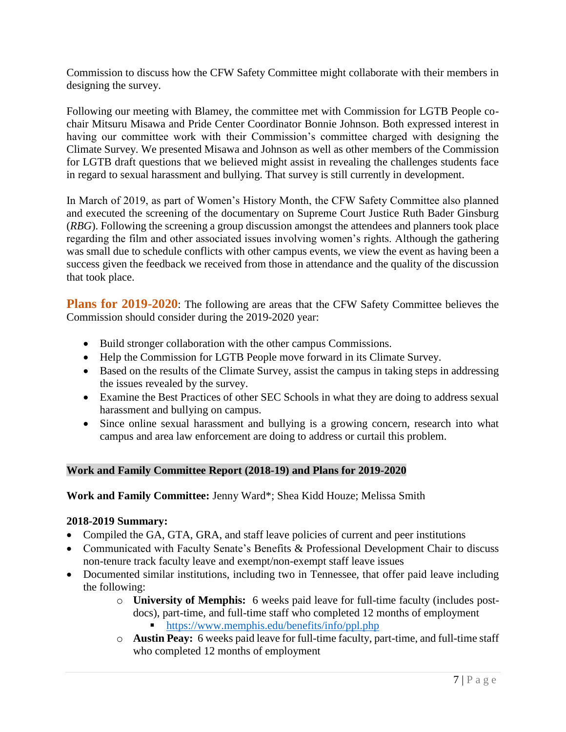Commission to discuss how the CFW Safety Committee might collaborate with their members in designing the survey.

Following our meeting with Blamey, the committee met with Commission for LGTB People cochair Mitsuru Misawa and Pride Center Coordinator Bonnie Johnson. Both expressed interest in having our committee work with their Commission's committee charged with designing the Climate Survey. We presented Misawa and Johnson as well as other members of the Commission for LGTB draft questions that we believed might assist in revealing the challenges students face in regard to sexual harassment and bullying. That survey is still currently in development.

In March of 2019, as part of Women's History Month, the CFW Safety Committee also planned and executed the screening of the documentary on Supreme Court Justice Ruth Bader Ginsburg (*RBG*). Following the screening a group discussion amongst the attendees and planners took place regarding the film and other associated issues involving women's rights. Although the gathering was small due to schedule conflicts with other campus events, we view the event as having been a success given the feedback we received from those in attendance and the quality of the discussion that took place.

**Plans for 2019-2020**: The following are areas that the CFW Safety Committee believes the Commission should consider during the 2019-2020 year:

- Build stronger collaboration with the other campus Commissions.
- Help the Commission for LGTB People move forward in its Climate Survey.
- Based on the results of the Climate Survey, assist the campus in taking steps in addressing the issues revealed by the survey.
- Examine the Best Practices of other SEC Schools in what they are doing to address sexual harassment and bullying on campus.
- Since online sexual harassment and bullying is a growing concern, research into what campus and area law enforcement are doing to address or curtail this problem.

#### **Work and Family Committee Report (2018-19) and Plans for 2019-2020**

**Work and Family Committee:** Jenny Ward\*; Shea Kidd Houze; Melissa Smith

#### **2018-2019 Summary:**

- Compiled the GA, GTA, GRA, and staff leave policies of current and peer institutions
- Communicated with Faculty Senate's Benefits & Professional Development Chair to discuss non-tenure track faculty leave and exempt/non-exempt staff leave issues
- Documented similar institutions, including two in Tennessee, that offer paid leave including the following:
	- o **University of Memphis:** 6 weeks paid leave for full-time faculty (includes postdocs), part-time, and full-time staff who completed 12 months of employment ■ <https://www.memphis.edu/benefits/info/ppl.php>
	- o **Austin Peay:** 6 weeks paid leave for full-time faculty, part-time, and full-time staff who completed 12 months of employment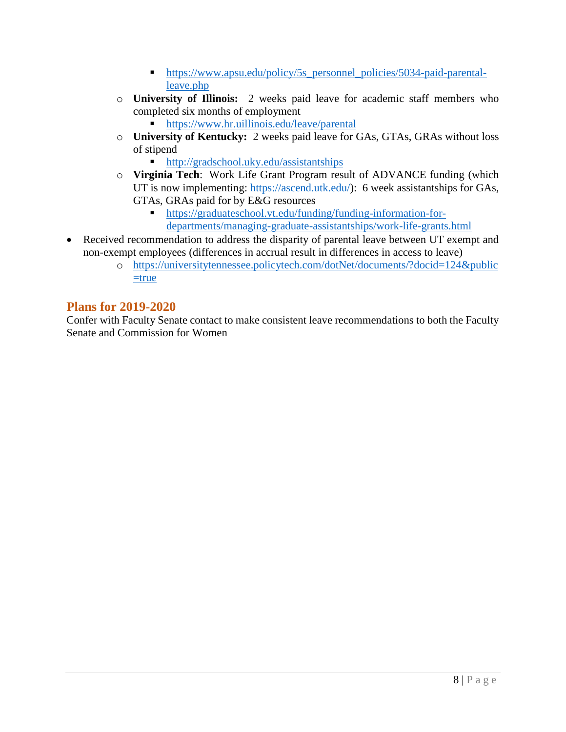- [https://www.apsu.edu/policy/5s\\_personnel\\_policies/5034-paid-parental](https://www.apsu.edu/policy/5s_personnel_policies/5034-paid-parental-leave.php)[leave.php](https://www.apsu.edu/policy/5s_personnel_policies/5034-paid-parental-leave.php)
- o **University of Illinois:** 2 weeks paid leave for academic staff members who completed six months of employment
	- <https://www.hr.uillinois.edu/leave/parental>
- o **University of Kentucky:** 2 weeks paid leave for GAs, GTAs, GRAs without loss of stipend
	- <http://gradschool.uky.edu/assistantships>
- o **Virginia Tech**: Work Life Grant Program result of ADVANCE funding (which UT is now implementing: [https://ascend.utk.edu/\)](https://ascend.utk.edu/): 6 week assistantships for GAs, GTAs, GRAs paid for by E&G resources
	- [https://graduateschool.vt.edu/funding/funding-information-for](https://graduateschool.vt.edu/funding/funding-information-for-departments/managing-graduate-assistantships/work-life-grants.html)[departments/managing-graduate-assistantships/work-life-grants.html](https://graduateschool.vt.edu/funding/funding-information-for-departments/managing-graduate-assistantships/work-life-grants.html)
- Received recommendation to address the disparity of parental leave between UT exempt and non-exempt employees (differences in accrual result in differences in access to leave)
	- o [https://universitytennessee.policytech.com/dotNet/documents/?docid=124&public](https://universitytennessee.policytech.com/dotNet/documents/?docid=124&public=true) [=true](https://universitytennessee.policytech.com/dotNet/documents/?docid=124&public=true)

# **Plans for 2019-2020**

Confer with Faculty Senate contact to make consistent leave recommendations to both the Faculty Senate and Commission for Women